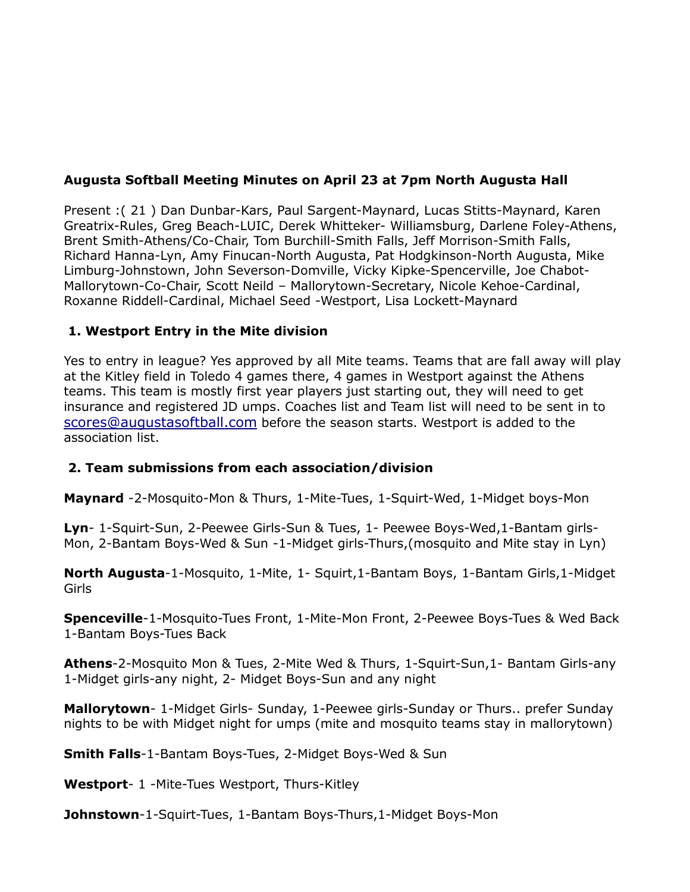# **Augusta Softball Meeting Minutes on April 23 at 7pm North Augusta Hall**

Present :( 21 ) Dan Dunbar-Kars, Paul Sargent-Maynard, Lucas Stitts-Maynard, Karen Greatrix-Rules, Greg Beach-LUIC, Derek Whitteker- Williamsburg, Darlene Foley-Athens, Brent Smith-Athens/Co-Chair, Tom Burchill-Smith Falls, Jeff Morrison-Smith Falls, Richard Hanna-Lyn, Amy Finucan-North Augusta, Pat Hodgkinson-North Augusta, Mike Limburg-Johnstown, John Severson-Domville, Vicky Kipke-Spencerville, Joe Chabot-Mallorytown-Co-Chair, Scott Neild – Mallorytown-Secretary, Nicole Kehoe-Cardinal, Roxanne Riddell-Cardinal, Michael Seed -Westport, Lisa Lockett-Maynard

## **1. Westport Entry in the Mite division**

Yes to entry in league? Yes approved by all Mite teams. Teams that are fall away will play at the Kitley field in Toledo 4 games there, 4 games in Westport against the Athens teams. This team is mostly first year players just starting out, they will need to get insurance and registered JD umps. Coaches list and Team list will need to be sent in to [scores@augustasoftball.com](mailto:scores@augusta.com) before the season starts. Westport is added to the association list.

### **2. Team submissions from each association/division**

**Maynard** -2-Mosquito-Mon & Thurs, 1-Mite-Tues, 1-Squirt-Wed, 1-Midget boys-Mon

**Lyn**- 1-Squirt-Sun, 2-Peewee Girls-Sun & Tues, 1- Peewee Boys-Wed,1-Bantam girls-Mon, 2-Bantam Boys-Wed & Sun -1-Midget girls-Thurs,(mosquito and Mite stay in Lyn)

**North Augusta**-1-Mosquito, 1-Mite, 1- Squirt,1-Bantam Boys, 1-Bantam Girls,1-Midget Girls

**Spenceville**-1-Mosquito-Tues Front, 1-Mite-Mon Front, 2-Peewee Boys-Tues & Wed Back 1-Bantam Boys-Tues Back

**Athens**-2-Mosquito Mon & Tues, 2-Mite Wed & Thurs, 1-Squirt-Sun,1- Bantam Girls-any 1-Midget girls-any night, 2- Midget Boys-Sun and any night

**Mallorytown**- 1-Midget Girls- Sunday, 1-Peewee girls-Sunday or Thurs.. prefer Sunday nights to be with Midget night for umps (mite and mosquito teams stay in mallorytown)

**Smith Falls**-1-Bantam Boys-Tues, 2-Midget Boys-Wed & Sun

**Westport**- 1 -Mite-Tues Westport, Thurs-Kitley

**Johnstown**-1-Squirt-Tues, 1-Bantam Boys-Thurs,1-Midget Boys-Mon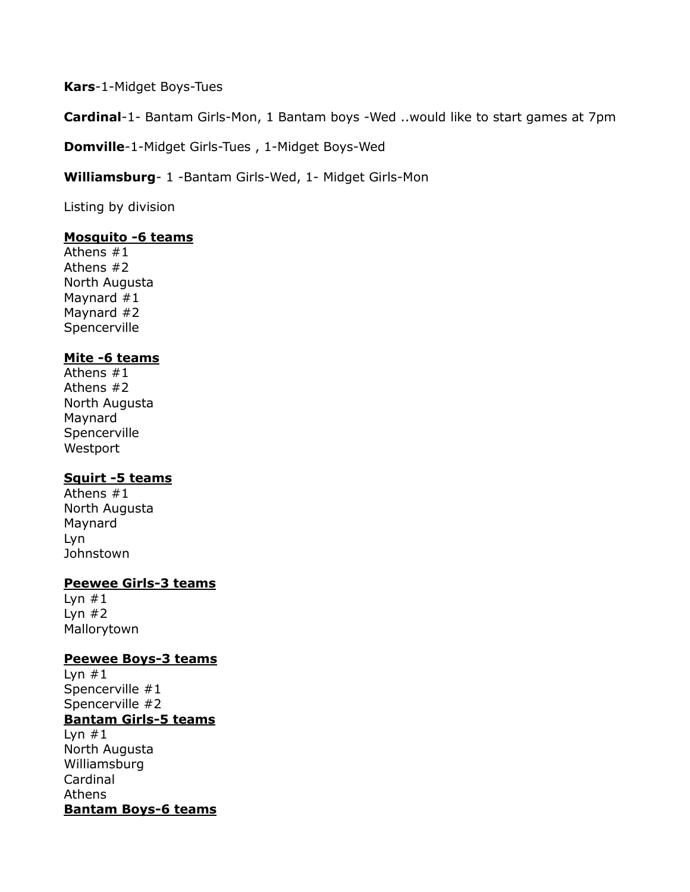**Kars**-1-Midget Boys-Tues

**Cardinal**-1- Bantam Girls-Mon, 1 Bantam boys -Wed ..would like to start games at 7pm

**Domville**-1-Midget Girls-Tues , 1-Midget Boys-Wed

**Williamsburg**- 1 -Bantam Girls-Wed, 1- Midget Girls-Mon

Listing by division

### **Mosquito -6 teams**

Athens #1 Athens #2 North Augusta Maynard #1 Maynard #2 Spencerville

## **Mite -6 teams**

Athens #1 Athens #2 North Augusta Maynard Spencerville Westport

### **Squirt -5 teams**

Athens #1 North Augusta Maynard Lyn Johnstown

### **Peewee Girls-3 teams**

Lyn  $#1$ Lyn  $#2$ Mallorytown

### **Peewee Boys-3 teams**

Lyn  $#1$ Spencerville #1 Spencerville #2 **Bantam Girls-5 teams** Lyn  $#1$ North Augusta Williamsburg Cardinal Athens **Bantam Boys-6 teams**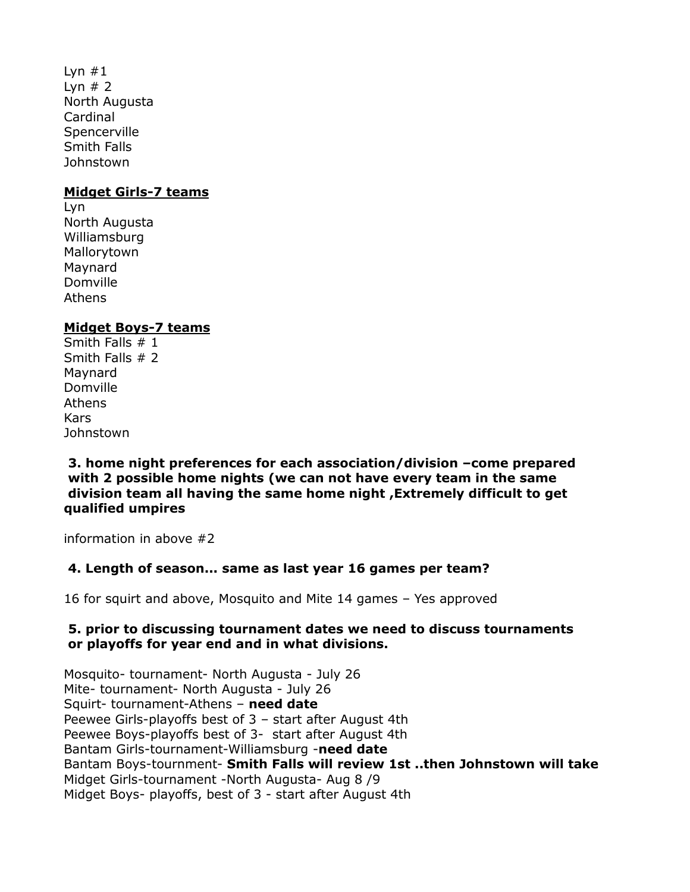Lyn  $#1$ Lyn  $# 2$ North Augusta Cardinal **Spencerville** Smith Falls **Johnstown** 

#### **Midget Girls-7 teams**

Lyn North Augusta Williamsburg Mallorytown Maynard Domville Athens

### **Midget Boys-7 teams**

Smith Falls # 1 Smith Falls # 2 Maynard Domville Athens Kars **Johnstown** 

**3. home night preferences for each association/division –come prepared with 2 possible home nights (we can not have every team in the same division team all having the same home night ,Extremely difficult to get qualified umpires**

information in above #2

## **4. Length of season... same as last year 16 games per team?**

16 for squirt and above, Mosquito and Mite 14 games – Yes approved

#### **5. prior to discussing tournament dates we need to discuss tournaments or playoffs for year end and in what divisions.**

Mosquito- tournament- North Augusta - July 26 Mite- tournament- North Augusta - July 26 Squirt- tournament-Athens – **need date** Peewee Girls-playoffs best of 3 – start after August 4th Peewee Boys-playoffs best of 3- start after August 4th Bantam Girls-tournament-Williamsburg -**need date** Bantam Boys-tournment- **Smith Falls will review 1st ..then Johnstown will take**  Midget Girls-tournament -North Augusta- Aug 8 /9 Midget Boys- playoffs, best of 3 - start after August 4th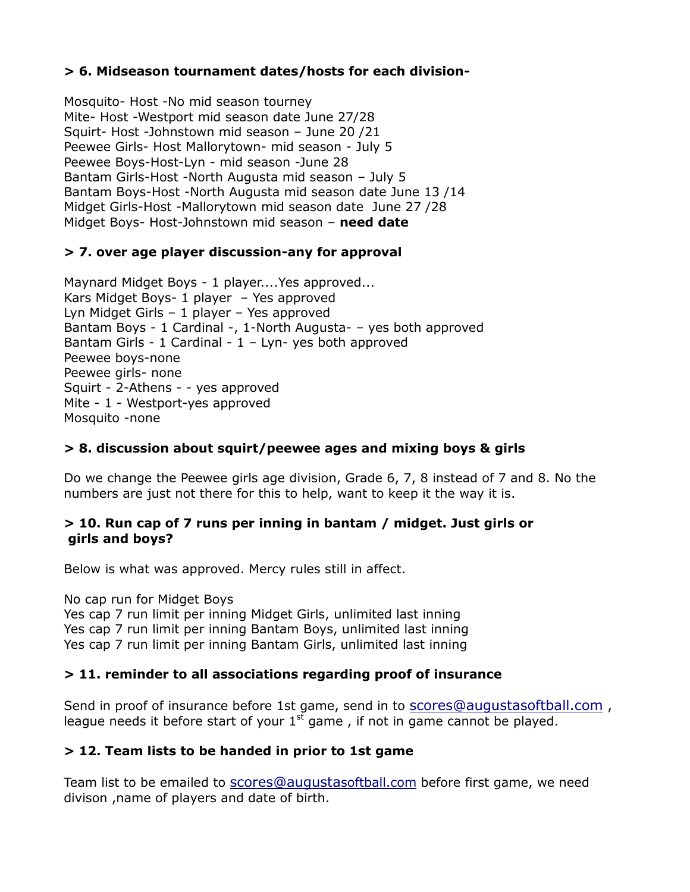## **> 6. Midseason tournament dates/hosts for each division-**

Mosquito- Host -No mid season tourney Mite- Host -Westport mid season date June 27/28 Squirt- Host -Johnstown mid season – June 20 /21 Peewee Girls- Host Mallorytown- mid season - July 5 Peewee Boys-Host-Lyn - mid season -June 28 Bantam Girls-Host -North Augusta mid season – July 5 Bantam Boys-Host -North Augusta mid season date June 13 /14 Midget Girls-Host -Mallorytown mid season date June 27 /28 Midget Boys- Host-Johnstown mid season – **need date**

### **> 7. over age player discussion-any for approval**

Maynard Midget Boys - 1 player....Yes approved... Kars Midget Boys- 1 player – Yes approved Lyn Midget Girls – 1 player – Yes approved Bantam Boys - 1 Cardinal -, 1-North Augusta- – yes both approved Bantam Girls - 1 Cardinal -  $1 - Lyn-$  yes both approved Peewee boys-none Peewee girls- none Squirt - 2-Athens - - yes approved Mite - 1 - Westport-yes approved Mosquito -none

### **> 8. discussion about squirt/peewee ages and mixing boys & girls**

Do we change the Peewee girls age division, Grade 6, 7, 8 instead of 7 and 8. No the numbers are just not there for this to help, want to keep it the way it is.

#### **> 10. Run cap of 7 runs per inning in bantam / midget. Just girls or girls and boys?**

Below is what was approved. Mercy rules still in affect.

No cap run for Midget Boys

Yes cap 7 run limit per inning Midget Girls, unlimited last inning Yes cap 7 run limit per inning Bantam Boys, unlimited last inning Yes cap 7 run limit per inning Bantam Girls, unlimited last inning

### **> 11. reminder to all associations regarding proof of insurance**

Send in proof of insurance before 1st game, send in to scores@auqustasoftball.com, league needs it before start of your  $1<sup>st</sup>$  game, if not in game cannot be played.

### **> 12. Team lists to be handed in prior to 1st game**

Team list to be emailed to [scores@augusta](mailto:scores@augusta)softball.com before first game, we need divison ,name of players and date of birth.